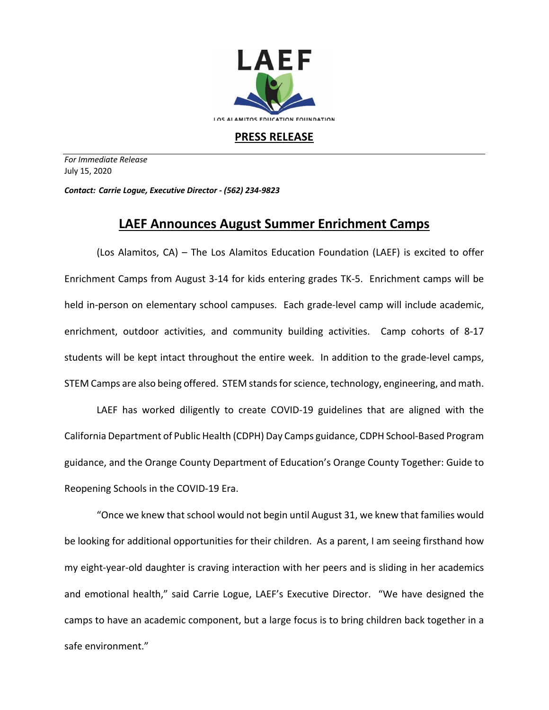

## **PRESS RELEASE**

*For Immediate Release*  July 15, 2020

*Contact: Carrie Logue, Executive Director - (562) 234-9823*

## **LAEF Announces August Summer Enrichment Camps**

(Los Alamitos, CA) – The Los Alamitos Education Foundation (LAEF) is excited to offer Enrichment Camps from August 3-14 for kids entering grades TK-5. Enrichment camps will be held in-person on elementary school campuses. Each grade-level camp will include academic, enrichment, outdoor activities, and community building activities. Camp cohorts of 8-17 students will be kept intact throughout the entire week. In addition to the grade-level camps, STEM Camps are also being offered. STEM stands for science, technology, engineering, and math.

LAEF has worked diligently to create COVID-19 guidelines that are aligned with the California Department of Public Health (CDPH) Day Camps guidance, CDPH School-Based Program guidance, and the Orange County Department of Education's Orange County Together: Guide to Reopening Schools in the COVID-19 Era.

"Once we knew that school would not begin until August 31, we knew that families would be looking for additional opportunities for their children. As a parent, I am seeing firsthand how my eight-year-old daughter is craving interaction with her peers and is sliding in her academics and emotional health," said Carrie Logue, LAEF's Executive Director. "We have designed the camps to have an academic component, but a large focus is to bring children back together in a safe environment."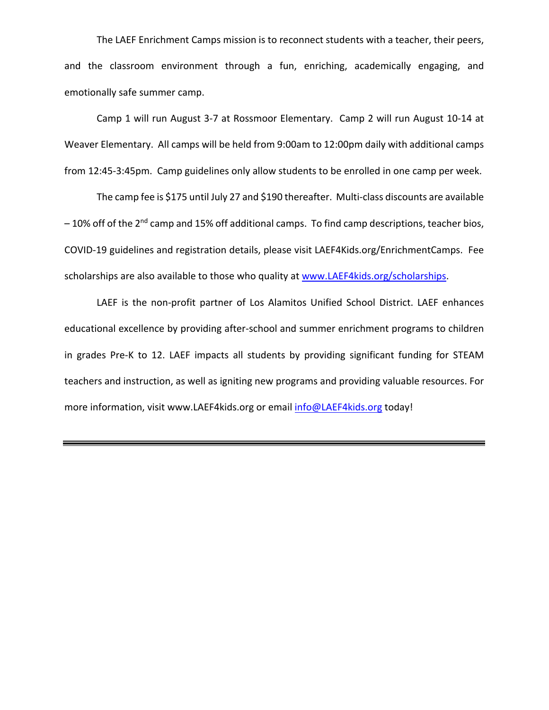The LAEF Enrichment Camps mission is to reconnect students with a teacher, their peers, and the classroom environment through a fun, enriching, academically engaging, and emotionally safe summer camp.

Camp 1 will run August 3-7 at Rossmoor Elementary. Camp 2 will run August 10-14 at Weaver Elementary. All camps will be held from 9:00am to 12:00pm daily with additional camps from 12:45-3:45pm. Camp guidelines only allow students to be enrolled in one camp per week.

The camp fee is \$175 until July 27 and \$190 thereafter. Multi-class discounts are available  $-10%$  off of the 2<sup>nd</sup> camp and 15% off additional camps. To find camp descriptions, teacher bios, COVID-19 guidelines and registration details, please visit LAEF4Kids.org/EnrichmentCamps. Fee scholarships are also available to those who quality at www.LAEF4kids.org/scholarships.

LAEF is the non-profit partner of Los Alamitos Unified School District. LAEF enhances educational excellence by providing after-school and summer enrichment programs to children in grades Pre-K to 12. LAEF impacts all students by providing significant funding for STEAM teachers and instruction, as well as igniting new programs and providing valuable resources. For more information, visit www.LAEF4kids.org or email info@LAEF4kids.org today!